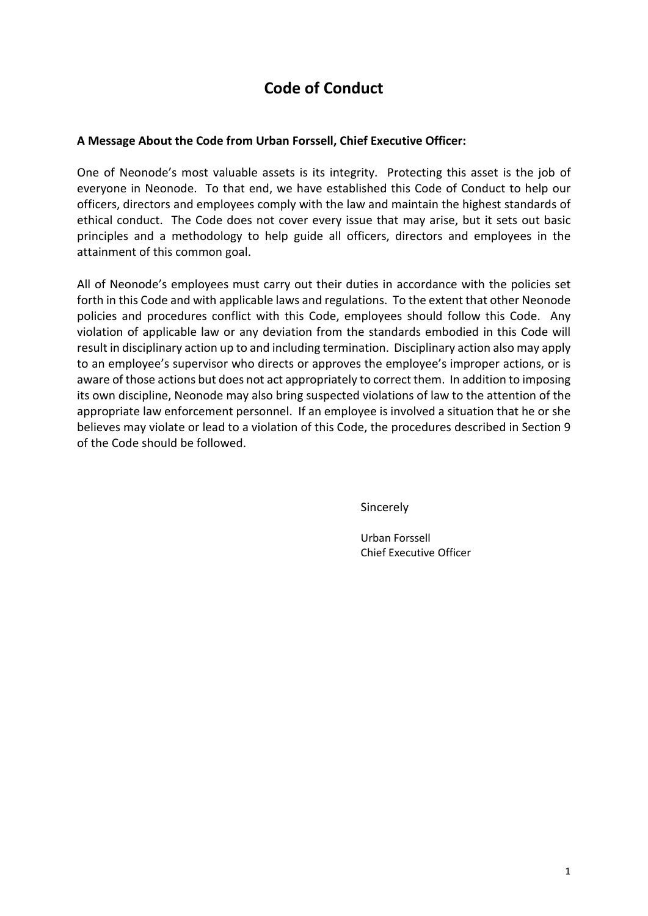# **Code of Conduct**

#### **A Message About the Code from Urban Forssell, Chief Executive Officer:**

One of Neonode's most valuable assets is its integrity. Protecting this asset is the job of everyone in Neonode. To that end, we have established this Code of Conduct to help our officers, directors and employees comply with the law and maintain the highest standards of ethical conduct. The Code does not cover every issue that may arise, but it sets out basic principles and a methodology to help guide all officers, directors and employees in the attainment of this common goal.

All of Neonode's employees must carry out their duties in accordance with the policies set forth in this Code and with applicable laws and regulations. To the extent that other Neonode policies and procedures conflict with this Code, employees should follow this Code. Any violation of applicable law or any deviation from the standards embodied in this Code will result in disciplinary action up to and including termination. Disciplinary action also may apply to an employee's supervisor who directs or approves the employee's improper actions, or is aware of those actions but does not act appropriately to correct them. In addition to imposing its own discipline, Neonode may also bring suspected violations of law to the attention of the appropriate law enforcement personnel. If an employee is involved a situation that he or she believes may violate or lead to a violation of this Code, the procedures described in Section 9 of the Code should be followed.

Sincerely

Urban Forssell Chief Executive Officer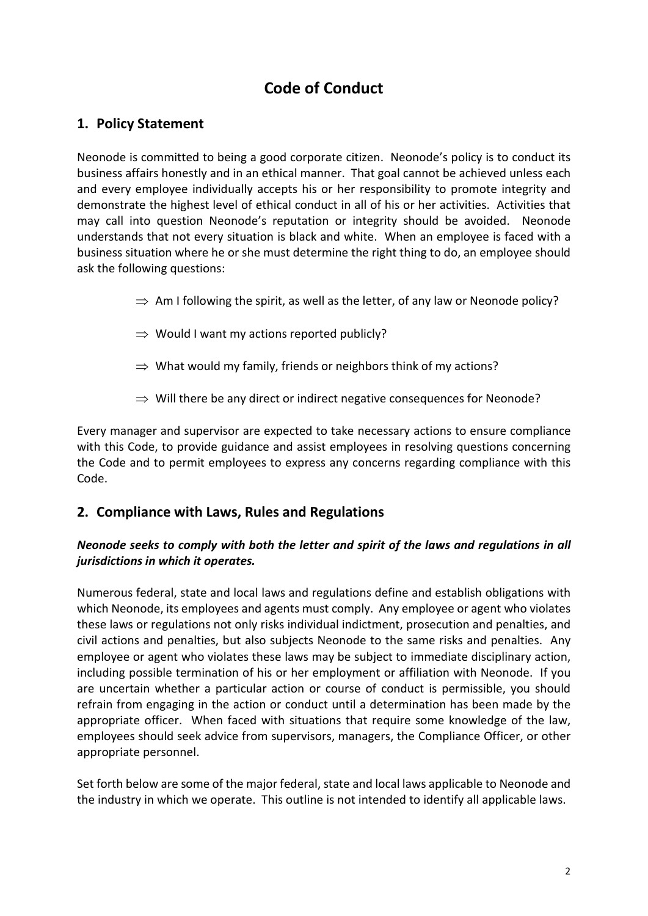# **Code of Conduct**

## **1. Policy Statement**

Neonode is committed to being a good corporate citizen. Neonode's policy is to conduct its business affairs honestly and in an ethical manner. That goal cannot be achieved unless each and every employee individually accepts his or her responsibility to promote integrity and demonstrate the highest level of ethical conduct in all of his or her activities. Activities that may call into question Neonode's reputation or integrity should be avoided. Neonode understands that not every situation is black and white. When an employee is faced with a business situation where he or she must determine the right thing to do, an employee should ask the following questions:

- $\Rightarrow$  Am I following the spirit, as well as the letter, of any law or Neonode policy?
- $\Rightarrow$  Would I want my actions reported publicly?
- $\Rightarrow$  What would my family, friends or neighbors think of my actions?
- $\Rightarrow$  Will there be any direct or indirect negative consequences for Neonode?

Every manager and supervisor are expected to take necessary actions to ensure compliance with this Code, to provide guidance and assist employees in resolving questions concerning the Code and to permit employees to express any concerns regarding compliance with this Code.

## **2. Compliance with Laws, Rules and Regulations**

#### *Neonode seeks to comply with both the letter and spirit of the laws and regulations in all jurisdictions in which it operates.*

Numerous federal, state and local laws and regulations define and establish obligations with which Neonode, its employees and agents must comply. Any employee or agent who violates these laws or regulations not only risks individual indictment, prosecution and penalties, and civil actions and penalties, but also subjects Neonode to the same risks and penalties. Any employee or agent who violates these laws may be subject to immediate disciplinary action, including possible termination of his or her employment or affiliation with Neonode. If you are uncertain whether a particular action or course of conduct is permissible, you should refrain from engaging in the action or conduct until a determination has been made by the appropriate officer. When faced with situations that require some knowledge of the law, employees should seek advice from supervisors, managers, the Compliance Officer, or other appropriate personnel.

Set forth below are some of the major federal, state and local laws applicable to Neonode and the industry in which we operate. This outline is not intended to identify all applicable laws.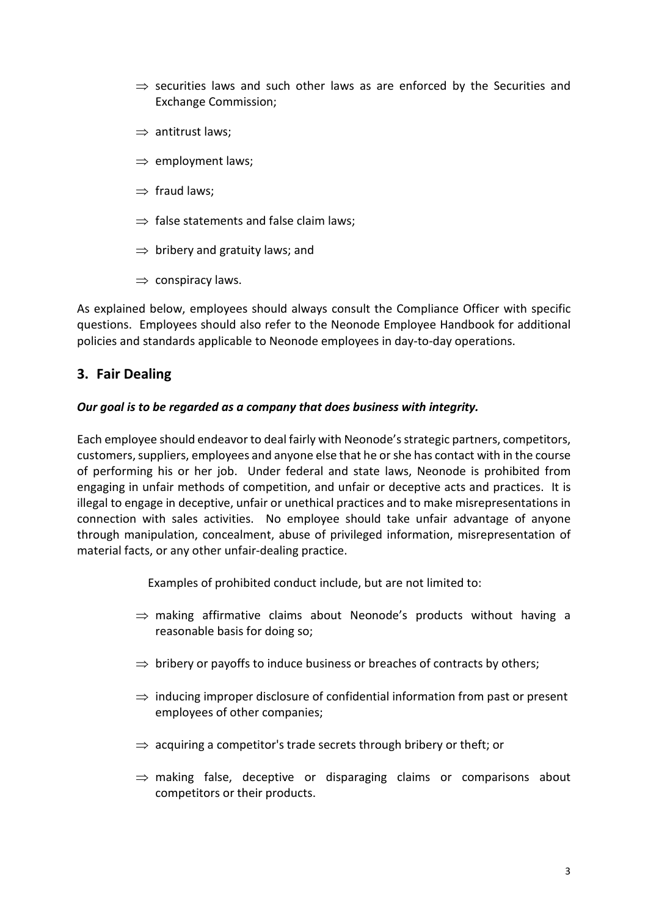- $\Rightarrow$  securities laws and such other laws as are enforced by the Securities and Exchange Commission;
- $\Rightarrow$  antitrust laws;
- $\Rightarrow$  employment laws;
- $\Rightarrow$  fraud laws:
- $\Rightarrow$  false statements and false claim laws;
- $\Rightarrow$  bribery and gratuity laws; and
- $\Rightarrow$  conspiracy laws.

As explained below, employees should always consult the Compliance Officer with specific questions. Employees should also refer to the Neonode Employee Handbook for additional policies and standards applicable to Neonode employees in day-to-day operations.

## **3. Fair Dealing**

#### *Our goal is to be regarded as a company that does business with integrity.*

Each employee should endeavor to deal fairly with Neonode's strategic partners, competitors, customers, suppliers, employees and anyone else that he or she has contact with in the course of performing his or her job. Under federal and state laws, Neonode is prohibited from engaging in unfair methods of competition, and unfair or deceptive acts and practices. It is illegal to engage in deceptive, unfair or unethical practices and to make misrepresentations in connection with sales activities. No employee should take unfair advantage of anyone through manipulation, concealment, abuse of privileged information, misrepresentation of material facts, or any other unfair-dealing practice.

Examples of prohibited conduct include, but are not limited to:

- $\Rightarrow$  making affirmative claims about Neonode's products without having a reasonable basis for doing so;
- $\Rightarrow$  bribery or payoffs to induce business or breaches of contracts by others;
- $\Rightarrow$  inducing improper disclosure of confidential information from past or present employees of other companies;
- $\Rightarrow$  acquiring a competitor's trade secrets through bribery or theft; or
- $\Rightarrow$  making false, deceptive or disparaging claims or comparisons about competitors or their products.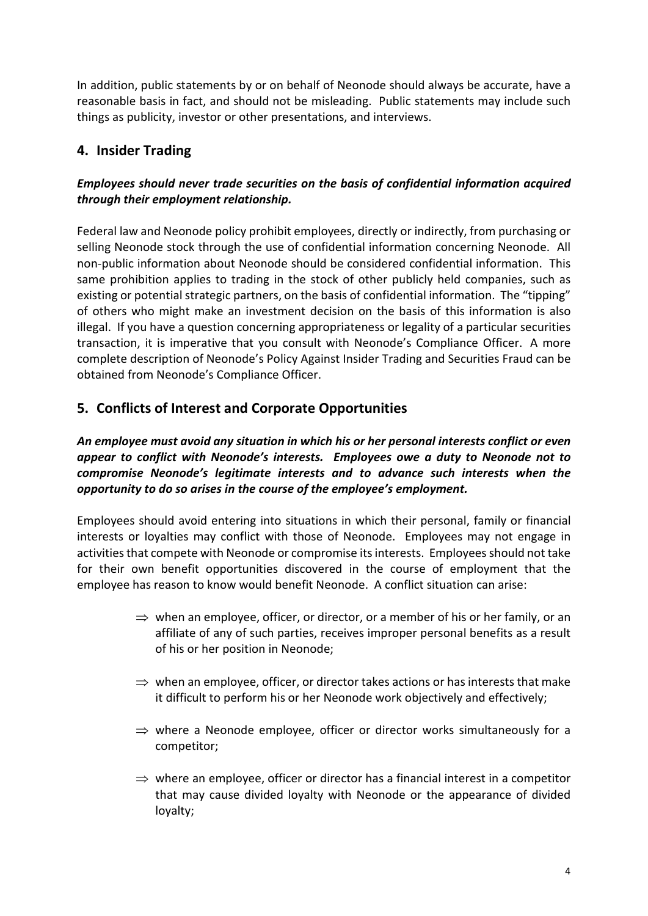In addition, public statements by or on behalf of Neonode should always be accurate, have a reasonable basis in fact, and should not be misleading. Public statements may include such things as publicity, investor or other presentations, and interviews.

## **4. Insider Trading**

## *Employees should never trade securities on the basis of confidential information acquired through their employment relationship.*

Federal law and Neonode policy prohibit employees, directly or indirectly, from purchasing or selling Neonode stock through the use of confidential information concerning Neonode. All non-public information about Neonode should be considered confidential information. This same prohibition applies to trading in the stock of other publicly held companies, such as existing or potential strategic partners, on the basis of confidential information. The "tipping" of others who might make an investment decision on the basis of this information is also illegal. If you have a question concerning appropriateness or legality of a particular securities transaction, it is imperative that you consult with Neonode's Compliance Officer. A more complete description of Neonode's Policy Against Insider Trading and Securities Fraud can be obtained from Neonode's Compliance Officer.

## **5. Conflicts of Interest and Corporate Opportunities**

## *An employee must avoid any situation in which his or her personal interests conflict or even appear to conflict with Neonode's interests. Employees owe a duty to Neonode not to compromise Neonode's legitimate interests and to advance such interests when the opportunity to do so arises in the course of the employee's employment.*

Employees should avoid entering into situations in which their personal, family or financial interests or loyalties may conflict with those of Neonode. Employees may not engage in activities that compete with Neonode or compromise its interests. Employees should not take for their own benefit opportunities discovered in the course of employment that the employee has reason to know would benefit Neonode. A conflict situation can arise:

- $\Rightarrow$  when an employee, officer, or director, or a member of his or her family, or an affiliate of any of such parties, receives improper personal benefits as a result of his or her position in Neonode;
- $\Rightarrow$  when an employee, officer, or director takes actions or has interests that make it difficult to perform his or her Neonode work objectively and effectively;
- $\Rightarrow$  where a Neonode employee, officer or director works simultaneously for a competitor;
- $\Rightarrow$  where an employee, officer or director has a financial interest in a competitor that may cause divided loyalty with Neonode or the appearance of divided loyalty;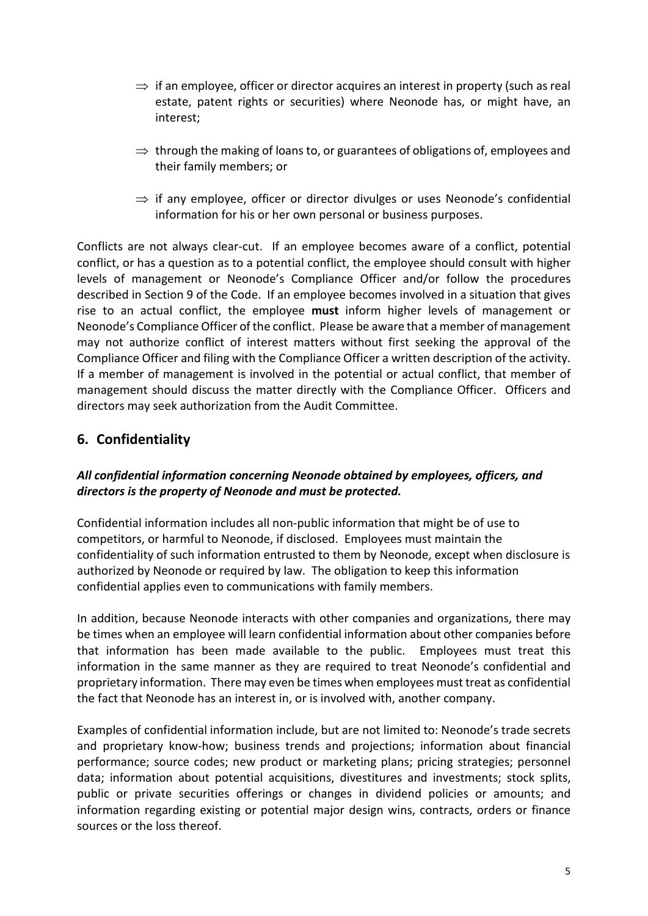- $\Rightarrow$  if an employee, officer or director acquires an interest in property (such as real estate, patent rights or securities) where Neonode has, or might have, an interest;
- $\Rightarrow$  through the making of loans to, or guarantees of obligations of, employees and their family members; or
- $\Rightarrow$  if any employee, officer or director divulges or uses Neonode's confidential information for his or her own personal or business purposes.

Conflicts are not always clear-cut. If an employee becomes aware of a conflict, potential conflict, or has a question as to a potential conflict, the employee should consult with higher levels of management or Neonode's Compliance Officer and/or follow the procedures described in Section 9 of the Code. If an employee becomes involved in a situation that gives rise to an actual conflict, the employee **must** inform higher levels of management or Neonode's Compliance Officer of the conflict. Please be aware that a member of management may not authorize conflict of interest matters without first seeking the approval of the Compliance Officer and filing with the Compliance Officer a written description of the activity. If a member of management is involved in the potential or actual conflict, that member of management should discuss the matter directly with the Compliance Officer. Officers and directors may seek authorization from the Audit Committee.

## **6. Confidentiality**

#### *All confidential information concerning Neonode obtained by employees, officers, and directors is the property of Neonode and must be protected.*

Confidential information includes all non-public information that might be of use to competitors, or harmful to Neonode, if disclosed. Employees must maintain the confidentiality of such information entrusted to them by Neonode, except when disclosure is authorized by Neonode or required by law. The obligation to keep this information confidential applies even to communications with family members.

In addition, because Neonode interacts with other companies and organizations, there may be times when an employee will learn confidential information about other companies before that information has been made available to the public. Employees must treat this information in the same manner as they are required to treat Neonode's confidential and proprietary information. There may even be times when employees must treat as confidential the fact that Neonode has an interest in, or is involved with, another company.

Examples of confidential information include, but are not limited to: Neonode's trade secrets and proprietary know-how; business trends and projections; information about financial performance; source codes; new product or marketing plans; pricing strategies; personnel data; information about potential acquisitions, divestitures and investments; stock splits, public or private securities offerings or changes in dividend policies or amounts; and information regarding existing or potential major design wins, contracts, orders or finance sources or the loss thereof.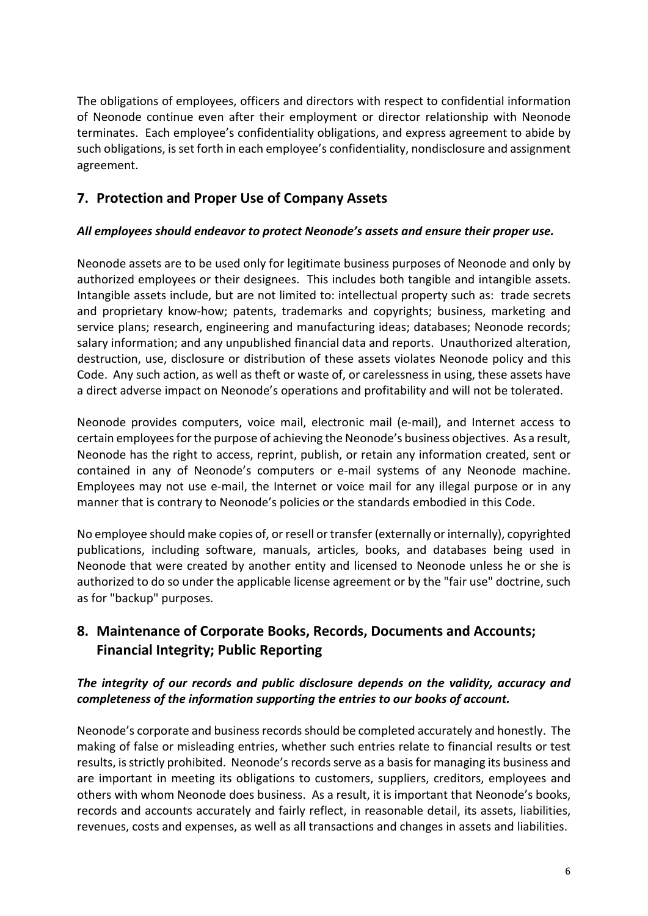The obligations of employees, officers and directors with respect to confidential information of Neonode continue even after their employment or director relationship with Neonode terminates. Each employee's confidentiality obligations, and express agreement to abide by such obligations, is set forth in each employee's confidentiality, nondisclosure and assignment agreement.

## **7. Protection and Proper Use of Company Assets**

#### *All employees should endeavor to protect Neonode's assets and ensure their proper use.*

Neonode assets are to be used only for legitimate business purposes of Neonode and only by authorized employees or their designees. This includes both tangible and intangible assets. Intangible assets include, but are not limited to: intellectual property such as: trade secrets and proprietary know-how; patents, trademarks and copyrights; business, marketing and service plans; research, engineering and manufacturing ideas; databases; Neonode records; salary information; and any unpublished financial data and reports. Unauthorized alteration, destruction, use, disclosure or distribution of these assets violates Neonode policy and this Code. Any such action, as well as theft or waste of, or carelessness in using, these assets have a direct adverse impact on Neonode's operations and profitability and will not be tolerated.

Neonode provides computers, voice mail, electronic mail (e-mail), and Internet access to certain employees for the purpose of achieving the Neonode's business objectives. As a result, Neonode has the right to access, reprint, publish, or retain any information created, sent or contained in any of Neonode's computers or e-mail systems of any Neonode machine. Employees may not use e-mail, the Internet or voice mail for any illegal purpose or in any manner that is contrary to Neonode's policies or the standards embodied in this Code.

No employee should make copies of, or resell or transfer (externally or internally), copyrighted publications, including software, manuals, articles, books, and databases being used in Neonode that were created by another entity and licensed to Neonode unless he or she is authorized to do so under the applicable license agreement or by the "fair use" doctrine, such as for "backup" purposes.

## **8. Maintenance of Corporate Books, Records, Documents and Accounts; Financial Integrity; Public Reporting**

## *The integrity of our records and public disclosure depends on the validity, accuracy and completeness of the information supporting the entries to our books of account.*

Neonode's corporate and business records should be completed accurately and honestly. The making of false or misleading entries, whether such entries relate to financial results or test results, is strictly prohibited. Neonode's records serve as a basis for managing its business and are important in meeting its obligations to customers, suppliers, creditors, employees and others with whom Neonode does business. As a result, it is important that Neonode's books, records and accounts accurately and fairly reflect, in reasonable detail, its assets, liabilities, revenues, costs and expenses, as well as all transactions and changes in assets and liabilities.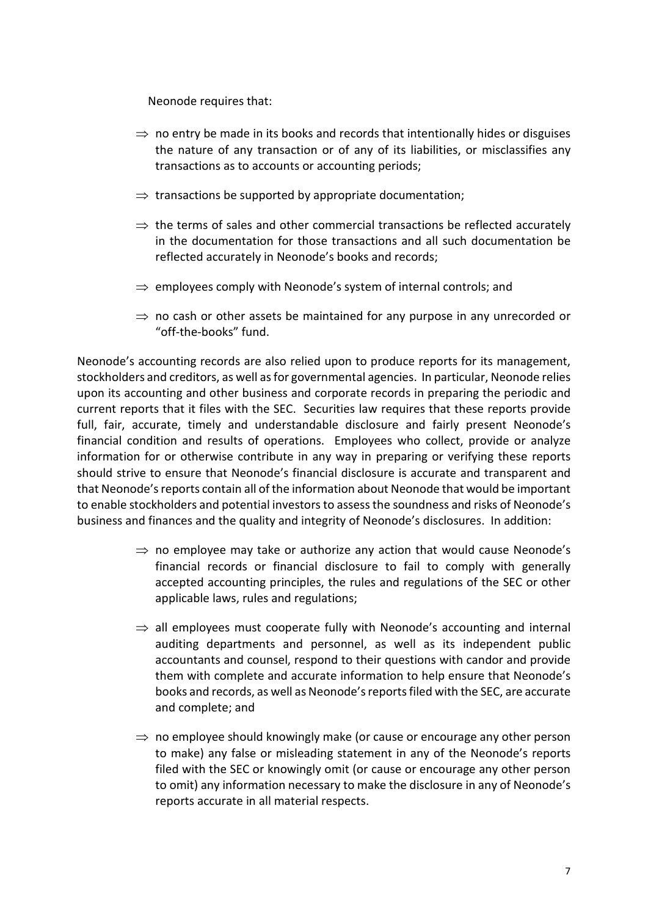Neonode requires that:

- $\Rightarrow$  no entry be made in its books and records that intentionally hides or disguises the nature of any transaction or of any of its liabilities, or misclassifies any transactions as to accounts or accounting periods;
- $\Rightarrow$  transactions be supported by appropriate documentation;
- $\Rightarrow$  the terms of sales and other commercial transactions be reflected accurately in the documentation for those transactions and all such documentation be reflected accurately in Neonode's books and records;
- $\Rightarrow$  employees comply with Neonode's system of internal controls; and
- $\Rightarrow$  no cash or other assets be maintained for any purpose in any unrecorded or "off-the-books" fund.

Neonode's accounting records are also relied upon to produce reports for its management, stockholders and creditors, as well as for governmental agencies. In particular, Neonode relies upon its accounting and other business and corporate records in preparing the periodic and current reports that it files with the SEC. Securities law requires that these reports provide full, fair, accurate, timely and understandable disclosure and fairly present Neonode's financial condition and results of operations. Employees who collect, provide or analyze information for or otherwise contribute in any way in preparing or verifying these reports should strive to ensure that Neonode's financial disclosure is accurate and transparent and that Neonode's reports contain all of the information about Neonode that would be important to enable stockholders and potential investors to assess the soundness and risks of Neonode's business and finances and the quality and integrity of Neonode's disclosures. In addition:

- $\Rightarrow$  no employee may take or authorize any action that would cause Neonode's financial records or financial disclosure to fail to comply with generally accepted accounting principles, the rules and regulations of the SEC or other applicable laws, rules and regulations;
- $\Rightarrow$  all employees must cooperate fully with Neonode's accounting and internal auditing departments and personnel, as well as its independent public accountants and counsel, respond to their questions with candor and provide them with complete and accurate information to help ensure that Neonode's books and records, as well as Neonode's reports filed with the SEC, are accurate and complete; and
- $\Rightarrow$  no employee should knowingly make (or cause or encourage any other person to make) any false or misleading statement in any of the Neonode's reports filed with the SEC or knowingly omit (or cause or encourage any other person to omit) any information necessary to make the disclosure in any of Neonode's reports accurate in all material respects.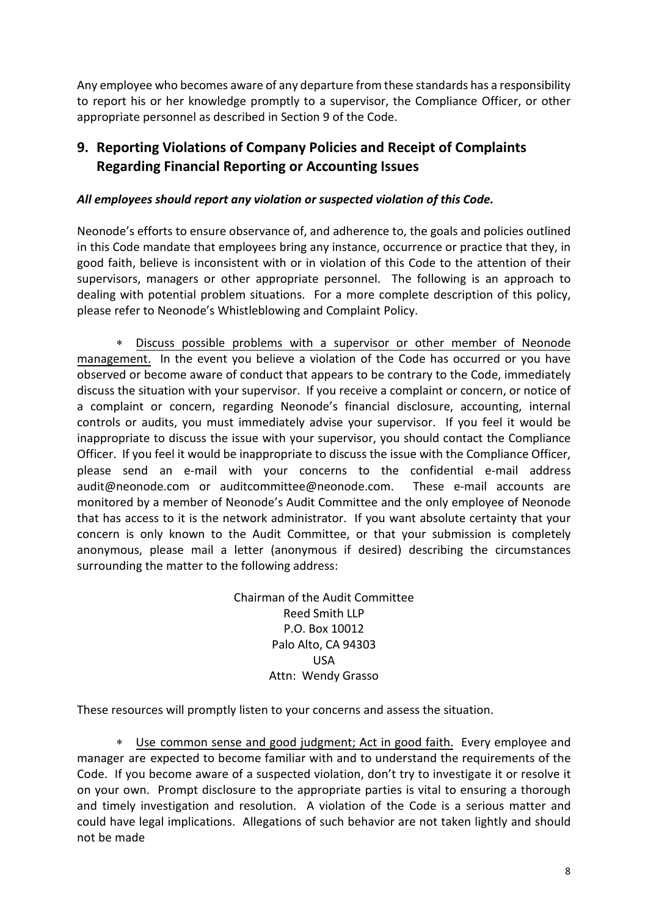Any employee who becomes aware of any departure from these standards has a responsibility to report his or her knowledge promptly to a supervisor, the Compliance Officer, or other appropriate personnel as described in Section 9 of the Code.

## **9. Reporting Violations of Company Policies and Receipt of Complaints Regarding Financial Reporting or Accounting Issues**

### *All employees should report any violation or suspected violation of this Code.*

Neonode's efforts to ensure observance of, and adherence to, the goals and policies outlined in this Code mandate that employees bring any instance, occurrence or practice that they, in good faith, believe is inconsistent with or in violation of this Code to the attention of their supervisors, managers or other appropriate personnel. The following is an approach to dealing with potential problem situations. For a more complete description of this policy, please refer to Neonode's Whistleblowing and Complaint Policy.

∗ Discuss possible problems with a supervisor or other member of Neonode management. In the event you believe a violation of the Code has occurred or you have observed or become aware of conduct that appears to be contrary to the Code, immediately discuss the situation with your supervisor. If you receive a complaint or concern, or notice of a complaint or concern, regarding Neonode's financial disclosure, accounting, internal controls or audits, you must immediately advise your supervisor. If you feel it would be inappropriate to discuss the issue with your supervisor, you should contact the Compliance Officer. If you feel it would be inappropriate to discuss the issue with the Compliance Officer, please send an e-mail with your concerns to the confidential e-mail address [audit@neonode.com](mailto:audit@neonode.com) or auditcommittee@neonode.com. These e-mail accounts are monitored by a member of Neonode's Audit Committee and the only employee of Neonode that has access to it is the network administrator. If you want absolute certainty that your concern is only known to the Audit Committee, or that your submission is completely anonymous, please mail a letter (anonymous if desired) describing the circumstances surrounding the matter to the following address:

> Chairman of the Audit Committee Reed Smith LLP P.O. Box 10012 Palo Alto, CA 94303 USA Attn: Wendy Grasso

These resources will promptly listen to your concerns and assess the situation.

∗ Use common sense and good judgment; Act in good faith. Every employee and manager are expected to become familiar with and to understand the requirements of the Code. If you become aware of a suspected violation, don't try to investigate it or resolve it on your own. Prompt disclosure to the appropriate parties is vital to ensuring a thorough and timely investigation and resolution. A violation of the Code is a serious matter and could have legal implications. Allegations of such behavior are not taken lightly and should not be made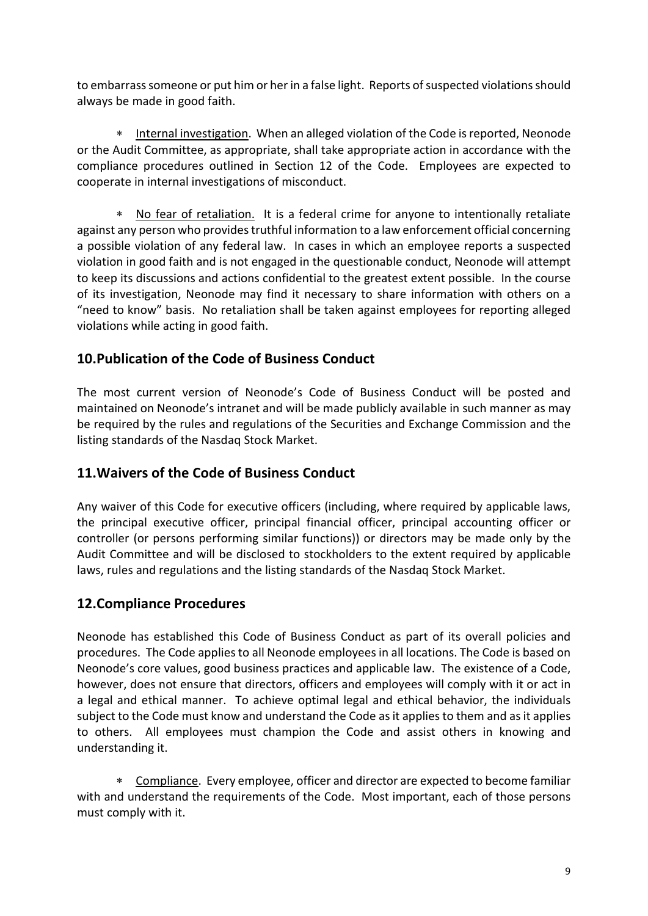to embarrass someone or put him or her in a false light. Reports of suspected violations should always be made in good faith.

∗ Internal investigation. When an alleged violation of the Code is reported, Neonode or the Audit Committee, as appropriate, shall take appropriate action in accordance with the compliance procedures outlined in Section 12 of the Code. Employees are expected to cooperate in internal investigations of misconduct.

∗ No fear of retaliation. It is a federal crime for anyone to intentionally retaliate against any person who provides truthful information to a law enforcement official concerning a possible violation of any federal law. In cases in which an employee reports a suspected violation in good faith and is not engaged in the questionable conduct, Neonode will attempt to keep its discussions and actions confidential to the greatest extent possible. In the course of its investigation, Neonode may find it necessary to share information with others on a "need to know" basis. No retaliation shall be taken against employees for reporting alleged violations while acting in good faith.

## **10.Publication of the Code of Business Conduct**

The most current version of Neonode's Code of Business Conduct will be posted and maintained on Neonode's intranet and will be made publicly available in such manner as may be required by the rules and regulations of the Securities and Exchange Commission and the listing standards of the Nasdaq Stock Market.

## **11.Waivers of the Code of Business Conduct**

Any waiver of this Code for executive officers (including, where required by applicable laws, the principal executive officer, principal financial officer, principal accounting officer or controller (or persons performing similar functions)) or directors may be made only by the Audit Committee and will be disclosed to stockholders to the extent required by applicable laws, rules and regulations and the listing standards of the Nasdaq Stock Market.

## **12.Compliance Procedures**

Neonode has established this Code of Business Conduct as part of its overall policies and procedures. The Code applies to all Neonode employees in all locations. The Code is based on Neonode's core values, good business practices and applicable law. The existence of a Code, however, does not ensure that directors, officers and employees will comply with it or act in a legal and ethical manner. To achieve optimal legal and ethical behavior, the individuals subject to the Code must know and understand the Code as it applies to them and as it applies to others. All employees must champion the Code and assist others in knowing and understanding it.

∗ Compliance. Every employee, officer and director are expected to become familiar with and understand the requirements of the Code. Most important, each of those persons must comply with it.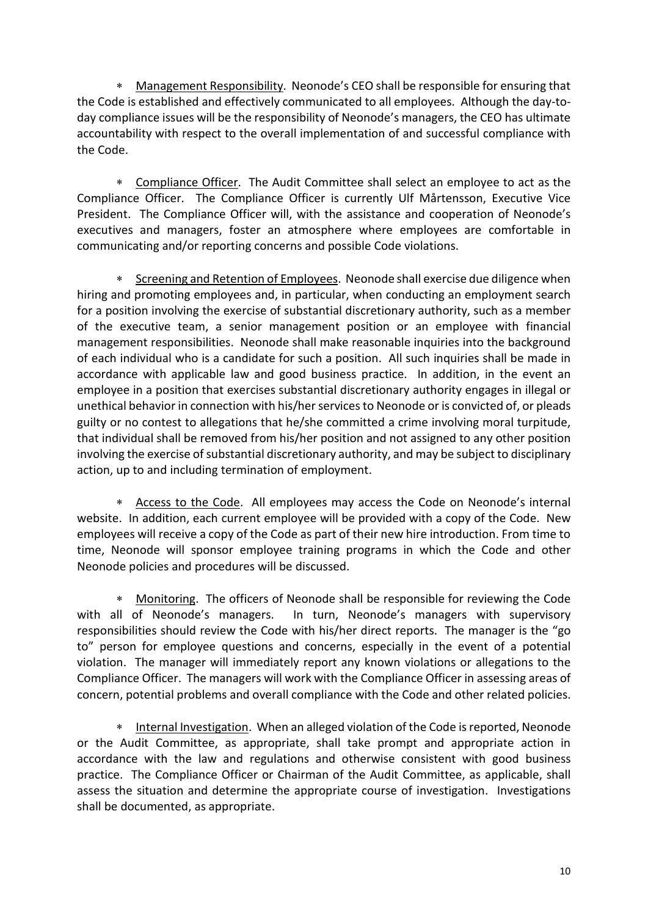∗ Management Responsibility. Neonode's CEO shall be responsible for ensuring that the Code is established and effectively communicated to all employees. Although the day-today compliance issues will be the responsibility of Neonode's managers, the CEO has ultimate accountability with respect to the overall implementation of and successful compliance with the Code.

∗ Compliance Officer. The Audit Committee shall select an employee to act as the Compliance Officer. The Compliance Officer is currently Ulf Mårtensson, Executive Vice President.The Compliance Officer will, with the assistance and cooperation of Neonode's executives and managers, foster an atmosphere where employees are comfortable in communicating and/or reporting concerns and possible Code violations.

∗ Screening and Retention of Employees. Neonode shall exercise due diligence when hiring and promoting employees and, in particular, when conducting an employment search for a position involving the exercise of substantial discretionary authority, such as a member of the executive team, a senior management position or an employee with financial management responsibilities. Neonode shall make reasonable inquiries into the background of each individual who is a candidate for such a position. All such inquiries shall be made in accordance with applicable law and good business practice. In addition, in the event an employee in a position that exercises substantial discretionary authority engages in illegal or unethical behavior in connection with his/her services to Neonode or is convicted of, or pleads guilty or no contest to allegations that he/she committed a crime involving moral turpitude, that individual shall be removed from his/her position and not assigned to any other position involving the exercise of substantial discretionary authority, and may be subject to disciplinary action, up to and including termination of employment.

∗ Access to the Code. All employees may access the Code on Neonode's internal website. In addition, each current employee will be provided with a copy of the Code. New employees will receive a copy of the Code as part of their new hire introduction. From time to time, Neonode will sponsor employee training programs in which the Code and other Neonode policies and procedures will be discussed.

∗ Monitoring. The officers of Neonode shall be responsible for reviewing the Code with all of Neonode's managers. In turn, Neonode's managers with supervisory responsibilities should review the Code with his/her direct reports. The manager is the "go to" person for employee questions and concerns, especially in the event of a potential violation. The manager will immediately report any known violations or allegations to the Compliance Officer. The managers will work with the Compliance Officer in assessing areas of concern, potential problems and overall compliance with the Code and other related policies.

Internal Investigation. When an alleged violation of the Code is reported, Neonode or the Audit Committee, as appropriate, shall take prompt and appropriate action in accordance with the law and regulations and otherwise consistent with good business practice. The Compliance Officer or Chairman of the Audit Committee, as applicable, shall assess the situation and determine the appropriate course of investigation. Investigations shall be documented, as appropriate.